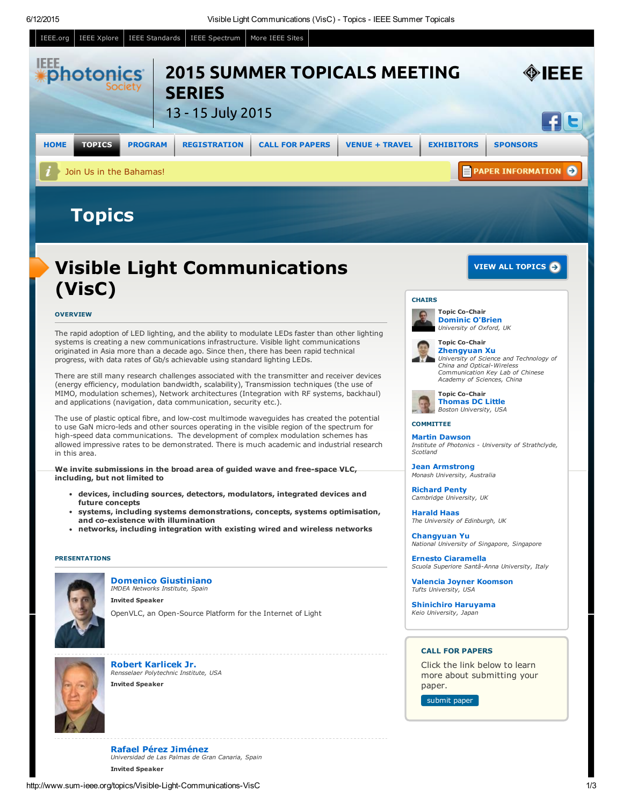

#### **OVERVIEW**

The rapid adoption of LED lighting, and the ability to modulate LEDs faster than other lighting systems is creating a new communications infrastructure. Visible light communications originated in Asia more than a decade ago. Since then, there has been rapid technical progress, with data rates of Gb/s achievable using standard lighting LEDs.

There are still many research challenges associated with the transmitter and receiver devices (energy efficiency, modulation bandwidth, scalability), Transmission techniques (the use of MIMO, modulation schemes), Network architectures (Integration with RF systems, backhaul) and applications (navigation, data communication, security etc.).

The use of plastic optical fibre, and low-cost multimode waveguides has created the potential to use GaN micro-leds and other sources operating in the visible region of the spectrum for high-speed data communications. The development of complex modulation schemes has allowed impressive rates to be demonstrated. There is much academic and industrial research in this area.

We invite submissions in the broad area of guided wave and free-space VLC, including, but not limited to

- devices, including sources, detectors, modulators, integrated devices and future concepts
- systems, including systems demonstrations, concepts, systems optimisation, and co-existence with illumination
- networks, including integration with existing wired and wireless networks

### PRESENTATIONS



### Domenico [Giustiniano](http://www.sum-ieee.org/topics/Visible-Light-Communications-VisC/Research-and-Challenges-with-OpenVLC-an-Open-Source-Platform-for-Embedded-Visible-Light-Networking)

*IMDEA Networks Institute, Spain* Invited Speaker

OpenVLC, an Open-Source Platform for the Internet of Light



Robert [Karlicek](http://www.sum-ieee.org/topics/Visible-Light-Communications-VisC/) Jr. *Rensselaer Polytechnic Institute, USA* Invited Speaker

Rafael Pérez [Jiménez](http://www.sum-ieee.org/topics/Visible-Light-Communications-VisC/VLC-systems-for-Real-Time-Indoor-Location) *Universidad de Las Palmas de Gran Canaria, Spain* Invited Speaker









[Zhengyuan](http://www.sum-ieee.org/people/Zhengyuan-Xu) Xu *University of Science and Technology of China and OpticalWireless Communication Key Lab of Chinese Academy of Sciences, China*



### **COMMITTEE**

Martin [Dawson](http://www.sum-ieee.org/people/Martin-Dawson) *Institute of Photonics University of Strathclyde, Scotland*

Jean [Armstrong](http://www.sum-ieee.org/people/Jean-Armstrong) *Monash University, Australia*

[Richard](http://www.sum-ieee.org/people/Richard-Penty) Penty *Cambridge University, UK*

[Harald](http://www.sum-ieee.org/people/Harald-Haas) Haas *The University of Edinburgh, UK*

[Changyuan](http://www.sum-ieee.org/people/Changyuan-Yu) Yu *National University of Singapore, Singapore*

Ernesto [Ciaramella](http://www.sum-ieee.org/people/Ernesto-Ciaramella) *Scuola Superiore Santâ-Anna University, Italy* 

Valencia Joyner [Koomson](http://www.sum-ieee.org/people/Valencia-Joyner) *Tufts University, USA*

Shinichiro [Haruyama](http://www.sum-ieee.org/people/Shinichiro-Haruyama) *Keio University, Japan*

### CALL FOR PAPERS

Click the link below to learn more about submitting your paper.

[submit](http://www.sum-ieee.org/call-for-papers) paper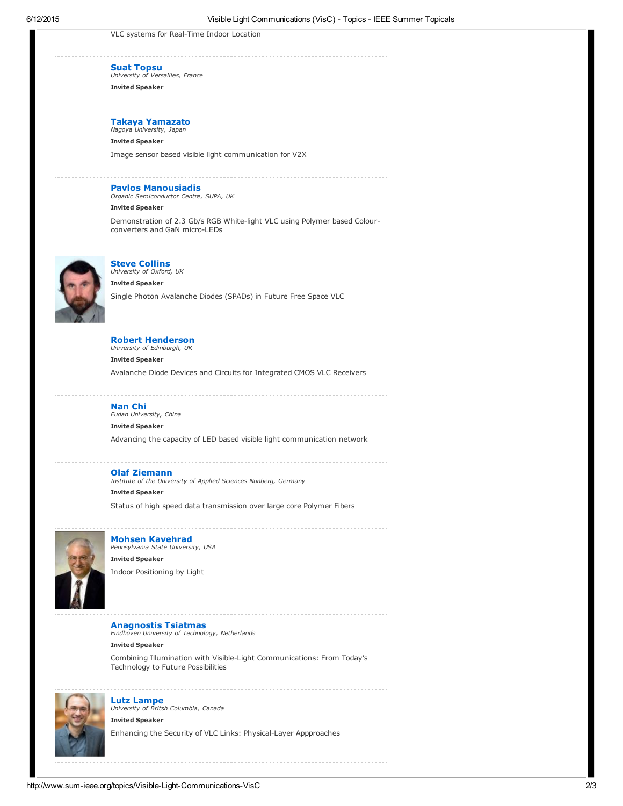### 6/12/2015 Visible Light Communications (VisC) Topics IEEE Summer Topicals

### VLC systems for Real-Time Indoor Location

Suat [Topsu](http://www.sum-ieee.org/topics/Visible-Light-Communications-VisC/) *University of Versailles, France* Invited Speaker

### Takaya [Yamazato](http://www.sum-ieee.org/topics/Visible-Light-Communications-VisC/Image-sensor-based-visible-light-communication-for-V2X)

*Nagoya University, Japan* Invited Speaker

Image sensor based visible light communication for V2X

Pavlos [Manousiadis](http://www.sum-ieee.org/topics/Visible-Light-Communications-VisC/Organic-semiconductors-for-visible-light-communication) *Organic Semiconductor Centre, SUPA, UK*

#### Invited Speaker

Demonstration of 2.3 Gb/s RGB White-light VLC using Polymer based Colourconverters and GaN micro-LEDs



#### Steve [Collins](http://www.sum-ieee.org/topics/Visible-Light-Communications-VisC/Single-Photon-Avalanche-Diodes-SPADs-in-Future-Free-Space-VLC) *University of Oxford, UK*

Invited Speaker

Single Photon Avalanche Diodes (SPADs) in Future Free Space VLC

### Robert [Henderson](http://www.sum-ieee.org/topics/Visible-Light-Communications-VisC/Avalanche-Diode-Devices-and-Circuits-for-Integrated-CMOS-VLC-Receivers) *University of Edinburgh, UK*

Invited Speaker

Avalanche Diode Devices and Circuits for Integrated CMOS VLC Receivers

## [Nan](http://www.sum-ieee.org/topics/Visible-Light-Communications-VisC/Advancing-the-capacity-of-LED-based-visible-light-communication-network) Chi *Fudan University, China*

Invited Speaker

Advancing the capacity of LED based visible light communication network

### Olaf [Ziemann](http://www.sum-ieee.org/topics/Visible-Light-Communications-VisC/Status-of-high-speed-data-transmission-over-large-core-Polymer-Fibers)

*Institute of the University of Applied Sciences Nunberg, Germany* Invited Speaker

Status of high speed data transmission over large core Polymer Fibers



### Mohsen [Kavehrad](http://www.sum-ieee.org/topics/Visible-Light-Communications-VisC/Indoor-Positioning-by-Light) *Pennsylvania State University, USA*

Invited Speaker Indoor Positioning by Light

### [Anagnostis](http://www.sum-ieee.org/topics/Visible-Light-Communications-VisC/Combining-Illumination-with-Visible-Light-Communications-From-Today-s-Technology-to-Future-Possibilities) Tsiatmas *Eindhoven University of Technology, Netherlands*

### Invited Speaker

Combining Illumination with Visible-Light Communications: From Today's Technology to Future Possibilities



# Invited Speaker

Lutz [Lampe](http://www.sum-ieee.org/topics/Visible-Light-Communications-VisC/Enhancing-the-Security-of-VLC-Links-Physical-Layer-Appproaches) *University of Britsh Columbia, Canada*

Enhancing the Security of VLC Links: Physical-Layer Appproaches